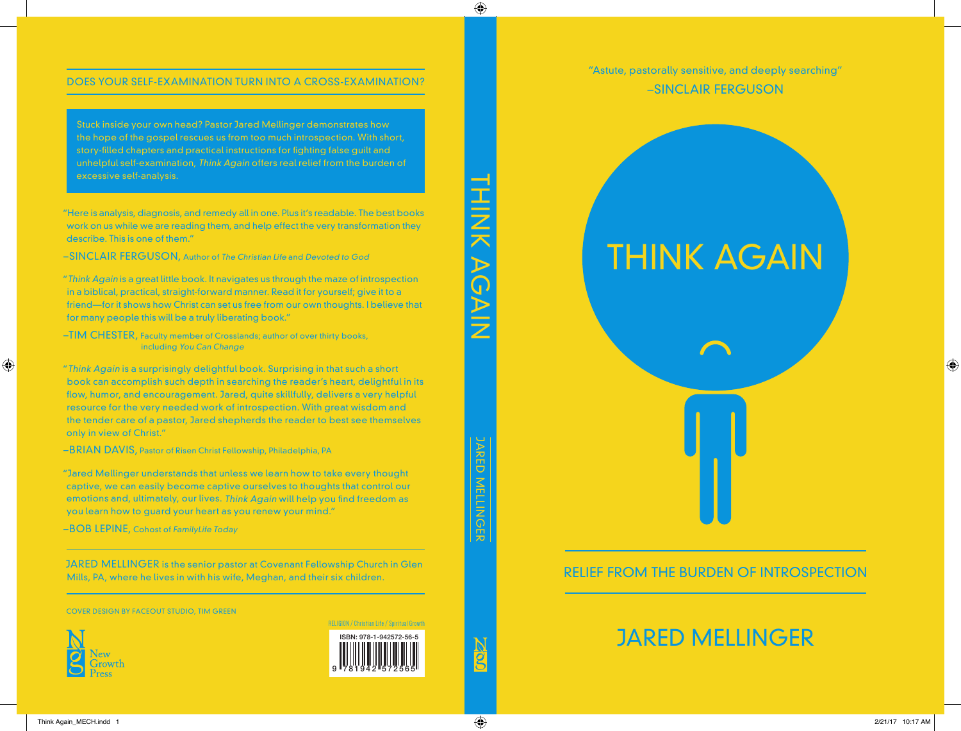"Astute, pastorally sensitive, and deeply searching" –SINCLAIR FERGUSON



## RELIEF FROM THE BURDEN OF INTROSPECTION

# JARED MELLINGER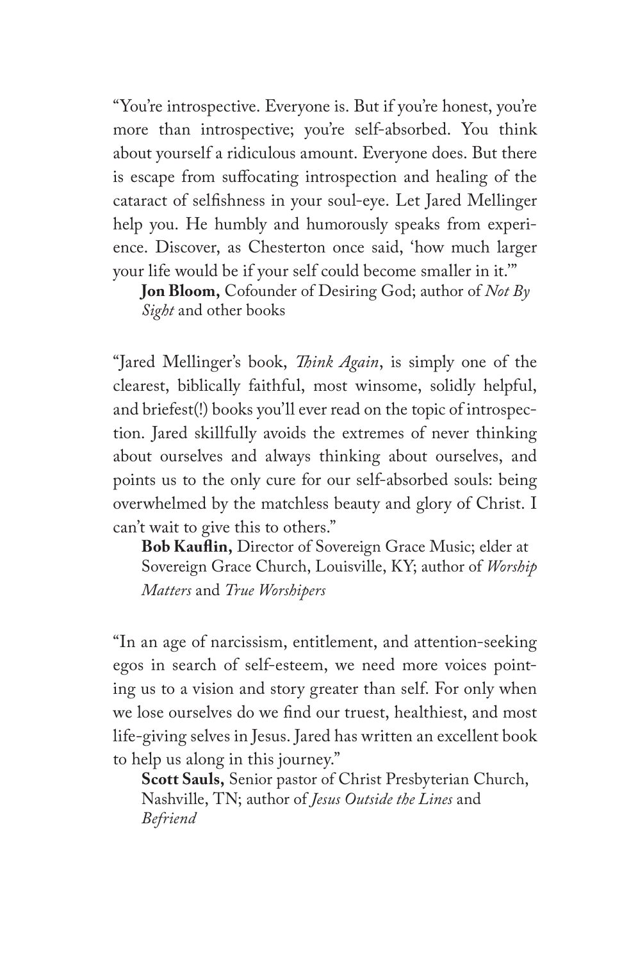"You're introspective. Everyone is. But if you're honest, you're more than introspective; you're self-absorbed. You think about yourself a ridiculous amount. Everyone does. But there is escape from suffocating introspection and healing of the cataract of selfishness in your soul-eye. Let Jared Mellinger help you. He humbly and humorously speaks from experience. Discover, as Chesterton once said, 'how much larger your life would be if your self could become smaller in it.'"

**Jon Bloom,** Cofounder of Desiring God; author of *Not By Sight* and other books

"Jared Mellinger's book, *Think Again*, is simply one of the clearest, biblically faithful, most winsome, solidly helpful, and briefest(!) books you'll ever read on the topic of introspection. Jared skillfully avoids the extremes of never thinking about ourselves and always thinking about ourselves, and points us to the only cure for our self-absorbed souls: being overwhelmed by the matchless beauty and glory of Christ. I can't wait to give this to others."

**Bob Kauflin,** Director of Sovereign Grace Music; elder at Sovereign Grace Church, Louisville, KY; author of *Worship Matters* and *True Worshipers* 

"In an age of narcissism, entitlement, and attention-seeking egos in search of self-esteem, we need more voices pointing us to a vision and story greater than self. For only when we lose ourselves do we find our truest, healthiest, and most life-giving selves in Jesus. Jared has written an excellent book to help us along in this journey."

**Scott Sauls,** Senior pastor of Christ Presbyterian Church, Nashville, TN; author of *Jesus Outside the Lines* and *Befriend*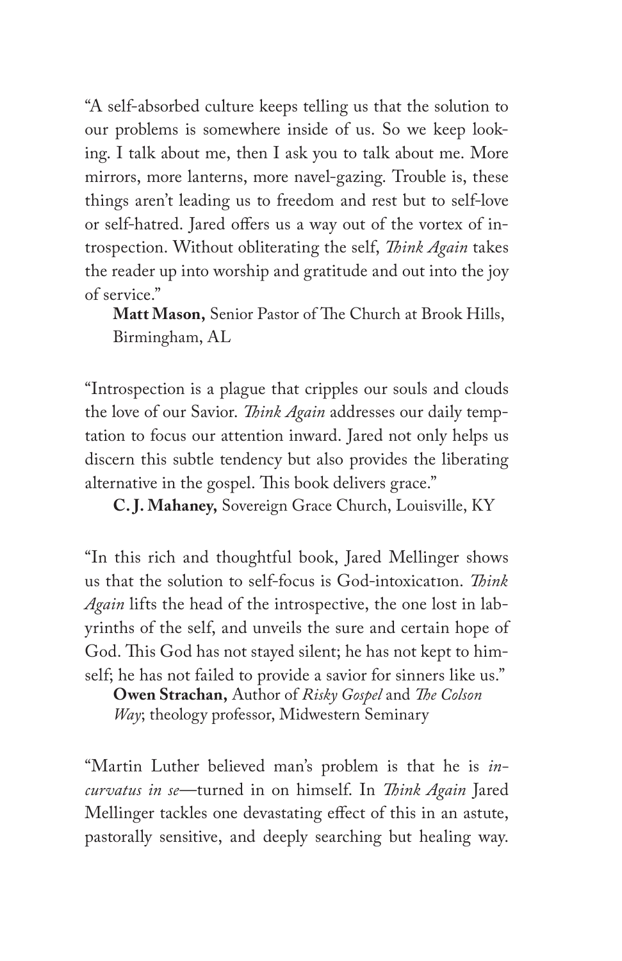"A self-absorbed culture keeps telling us that the solution to our problems is somewhere inside of us. So we keep looking. I talk about me, then I ask you to talk about me. More mirrors, more lanterns, more navel-gazing. Trouble is, these things aren't leading us to freedom and rest but to self-love or self-hatred. Jared offers us a way out of the vortex of introspection. Without obliterating the self, *Think Again* takes the reader up into worship and gratitude and out into the joy of service."

**Matt Mason,** Senior Pastor of The Church at Brook Hills, Birmingham, AL

"Introspection is a plague that cripples our souls and clouds the love of our Savior. *Think Again* addresses our daily temptation to focus our attention inward. Jared not only helps us discern this subtle tendency but also provides the liberating alternative in the gospel. This book delivers grace."

**C. J. Mahaney,** Sovereign Grace Church, Louisville, KY

"In this rich and thoughtful book, Jared Mellinger shows us that the solution to self-focus is God-intoxication. *Think Again* lifts the head of the introspective, the one lost in labyrinths of the self, and unveils the sure and certain hope of God. This God has not stayed silent; he has not kept to himself; he has not failed to provide a savior for sinners like us."

**Owen Strachan,** Author of *Risky Gospel* and *The Colson Way*; theology professor, Midwestern Seminary

"Martin Luther believed man's problem is that he is *incurvatus in se*—turned in on himself. In *Think Again* Jared Mellinger tackles one devastating effect of this in an astute, pastorally sensitive, and deeply searching but healing way.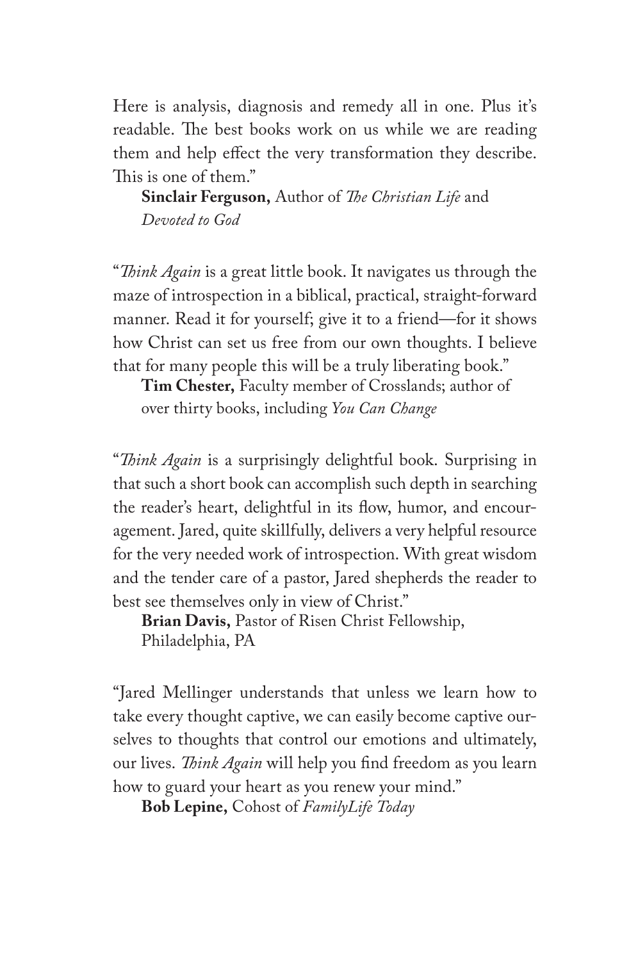Here is analysis, diagnosis and remedy all in one. Plus it's readable. The best books work on us while we are reading them and help effect the very transformation they describe. This is one of them."

**Sinclair Ferguson,** Author of *The Christian Life* and *Devoted to God*

"*Think Again* is a great little book. It navigates us through the maze of introspection in a biblical, practical, straight-forward manner. Read it for yourself; give it to a friend—for it shows how Christ can set us free from our own thoughts. I believe that for many people this will be a truly liberating book."

**Tim Chester,** Faculty member of Crosslands; author of over thirty books, including *You Can Change*

"*Think Again* is a surprisingly delightful book. Surprising in that such a short book can accomplish such depth in searching the reader's heart, delightful in its flow, humor, and encouragement. Jared, quite skillfully, delivers a very helpful resource for the very needed work of introspection. With great wisdom and the tender care of a pastor, Jared shepherds the reader to best see themselves only in view of Christ."

**Brian Davis,** Pastor of Risen Christ Fellowship, Philadelphia, PA

"Jared Mellinger understands that unless we learn how to take every thought captive, we can easily become captive ourselves to thoughts that control our emotions and ultimately, our lives. *Think Again* will help you find freedom as you learn how to guard your heart as you renew your mind."

**Bob Lepine,** Cohost of *FamilyLife Today*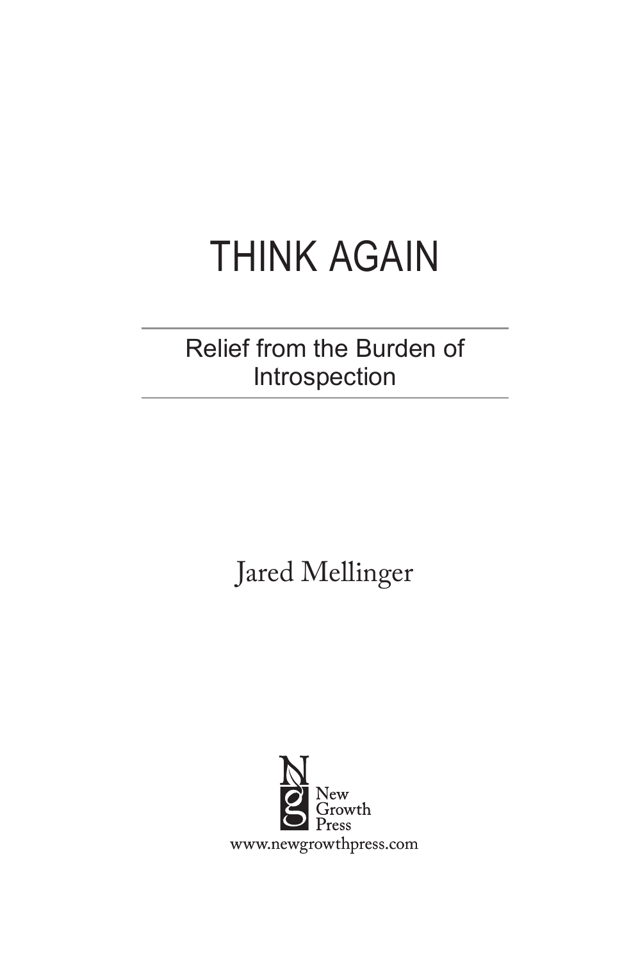# THINK AGAIN

# Relief from the Burden of Introspection

Jared Mellinger

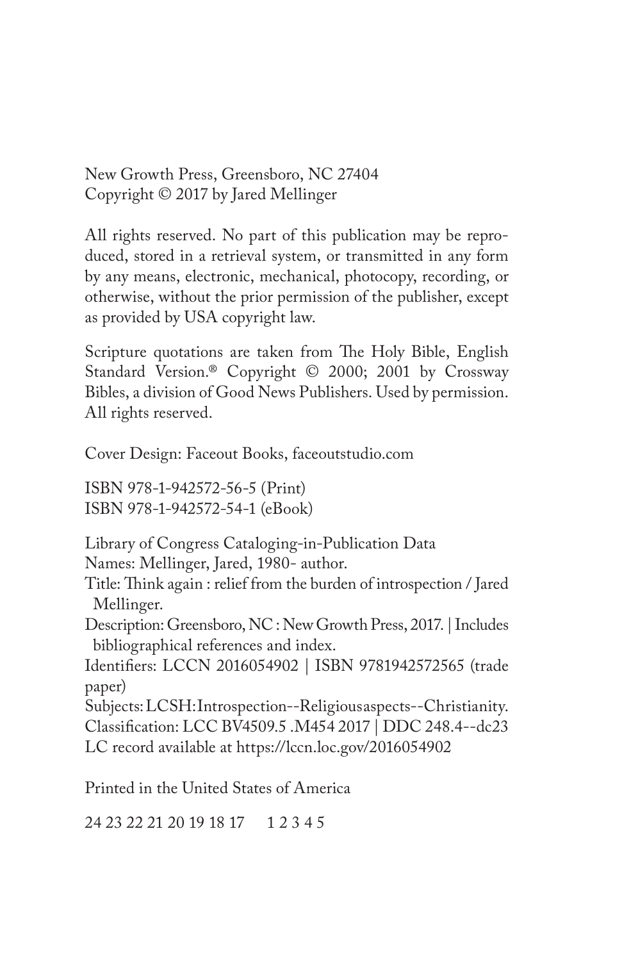New Growth Press, Greensboro, NC 27404 Copyright © 2017 by Jared Mellinger

All rights reserved. No part of this publication may be reproduced, stored in a retrieval system, or transmitted in any form by any means, electronic, mechanical, photocopy, recording, or otherwise, without the prior permission of the publisher, except as provided by USA copyright law.

Scripture quotations are taken from The Holy Bible, English Standard Version.® Copyright © 2000; 2001 by Crossway Bibles, a division of Good News Publishers. Used by permission. All rights reserved.

Cover Design: Faceout Books, faceoutstudio.com

ISBN 978-1-942572-56-5 (Print) ISBN 978-1-942572-54-1 (eBook)

Library of Congress Cataloging-in-Publication Data Names: Mellinger, Jared, 1980- author.

Title: Think again : relief from the burden of introspection / Jared Mellinger.

Description: Greensboro, NC : New Growth Press, 2017. | Includes bibliographical references and index.

Identifiers: LCCN 2016054902 | ISBN 9781942572565 (trade paper)

Subjects: LCSH: Introspection--Religious aspects--Christianity. Classification: LCC BV4509.5 .M454 2017 | DDC 248.4--dc23 LC record available at https://lccn.loc.gov/2016054902

Printed in the United States of America

24 23 22 21 20 19 18 17 1 2 3 4 5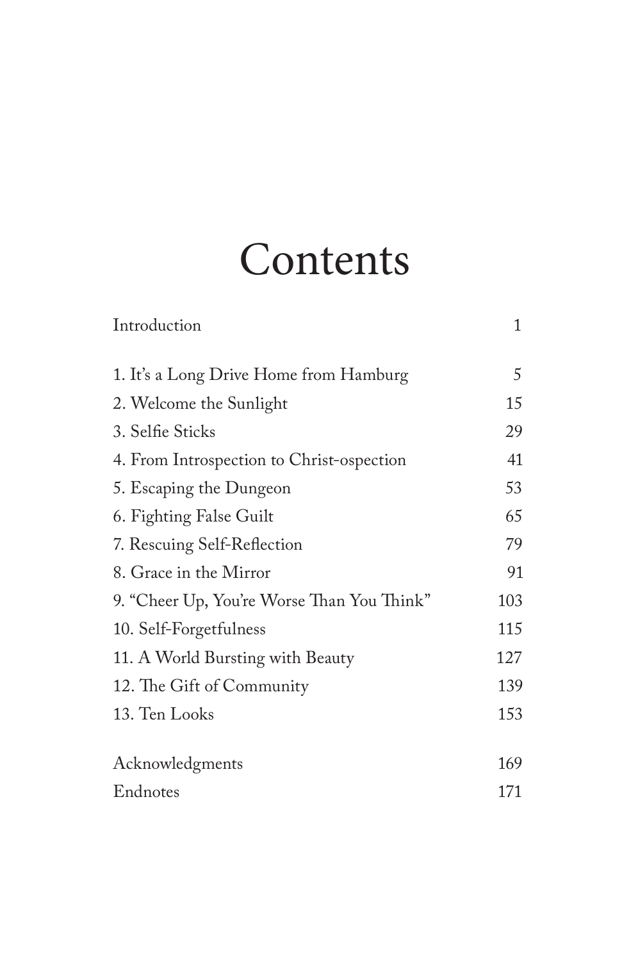# **Contents**

| Introduction                               | 1   |
|--------------------------------------------|-----|
| 1. It's a Long Drive Home from Hamburg     | 5   |
| 2. Welcome the Sunlight                    | 15  |
| 3. Selfie Sticks                           | 29  |
| 4. From Introspection to Christ-ospection  | 41  |
| 5. Escaping the Dungeon                    | 53  |
| 6. Fighting False Guilt                    | 65  |
| 7. Rescuing Self-Reflection                | 79  |
| 8. Grace in the Mirror                     | 91  |
| 9. "Cheer Up, You're Worse Than You Think" | 103 |
| 10. Self-Forgetfulness                     | 115 |
| 11. A World Bursting with Beauty           | 127 |
| 12. The Gift of Community                  | 139 |
| 13. Ten Looks                              | 153 |
| Acknowledgments                            | 169 |
| Endnotes                                   | 171 |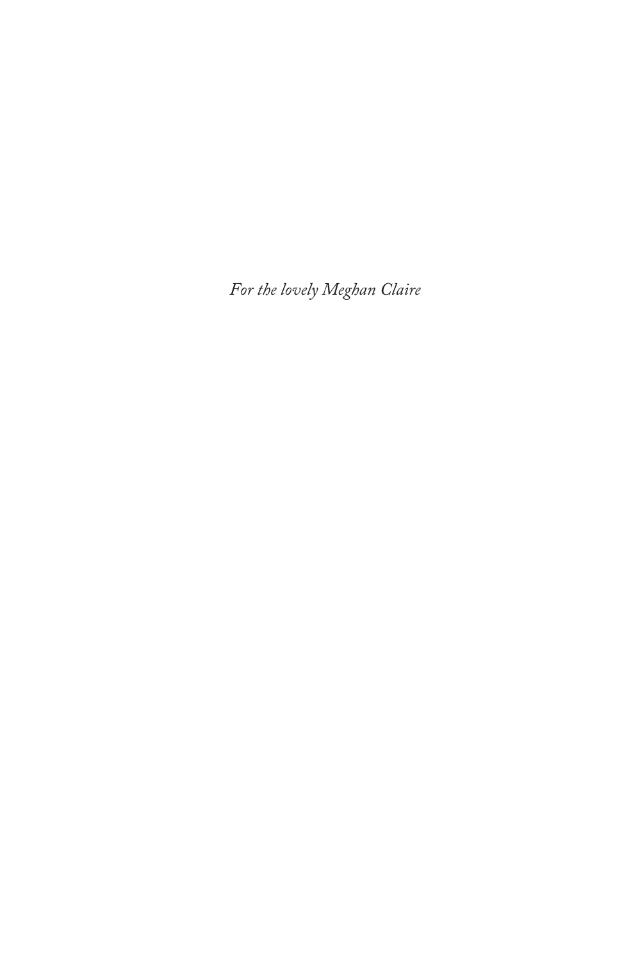*For the lovely Meghan Claire*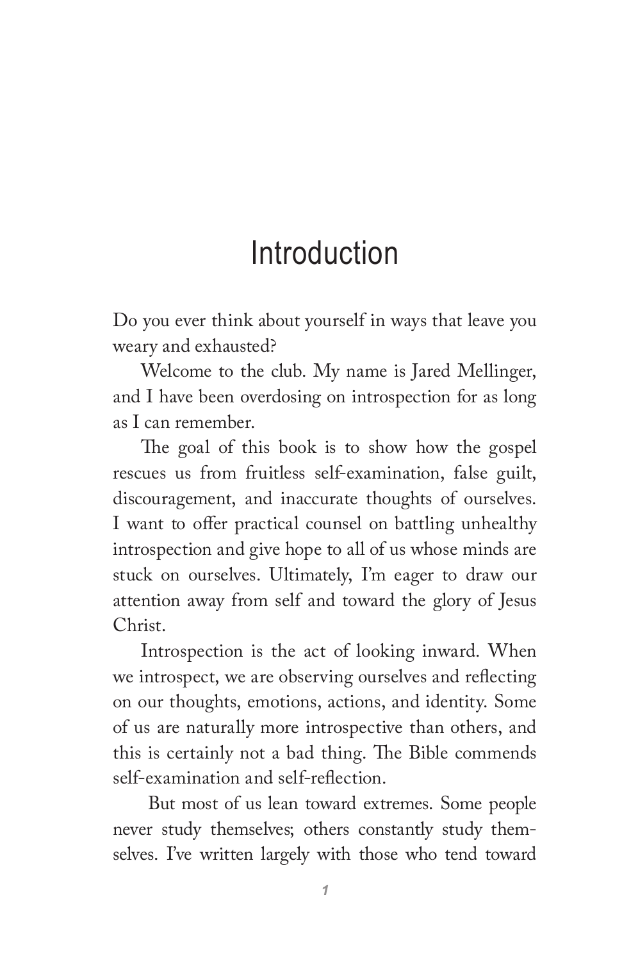# Introduction

Do you ever think about yourself in ways that leave you weary and exhausted?

Welcome to the club. My name is Jared Mellinger, and I have been overdosing on introspection for as long as I can remember.

The goal of this book is to show how the gospel rescues us from fruitless self-examination, false guilt, discouragement, and inaccurate thoughts of ourselves. I want to offer practical counsel on battling unhealthy introspection and give hope to all of us whose minds are stuck on ourselves. Ultimately, I'm eager to draw our attention away from self and toward the glory of Jesus Christ.

Introspection is the act of looking inward. When we introspect, we are observing ourselves and reflecting on our thoughts, emotions, actions, and identity. Some of us are naturally more introspective than others, and this is certainly not a bad thing. The Bible commends self-examination and self-reflection.

 But most of us lean toward extremes. Some people never study themselves; others constantly study themselves. I've written largely with those who tend toward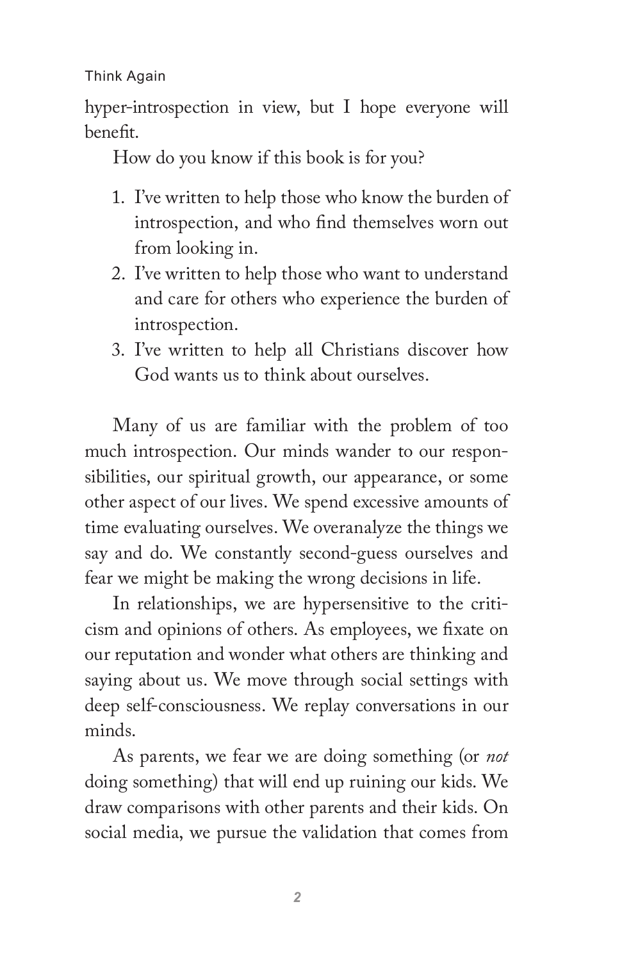hyper-introspection in view, but I hope everyone will benefit.

How do you know if this book is for you?

- 1. I've written to help those who know the burden of introspection, and who find themselves worn out from looking in.
- 2. I've written to help those who want to understand and care for others who experience the burden of introspection.
- 3. I've written to help all Christians discover how God wants us to think about ourselves.

Many of us are familiar with the problem of too much introspection. Our minds wander to our responsibilities, our spiritual growth, our appearance, or some other aspect of our lives. We spend excessive amounts of time evaluating ourselves. We overanalyze the things we say and do. We constantly second-guess ourselves and fear we might be making the wrong decisions in life.

In relationships, we are hypersensitive to the criticism and opinions of others. As employees, we fixate on our reputation and wonder what others are thinking and saying about us. We move through social settings with deep self-consciousness. We replay conversations in our minds.

As parents, we fear we are doing something (or *not*  doing something) that will end up ruining our kids. We draw comparisons with other parents and their kids. On social media, we pursue the validation that comes from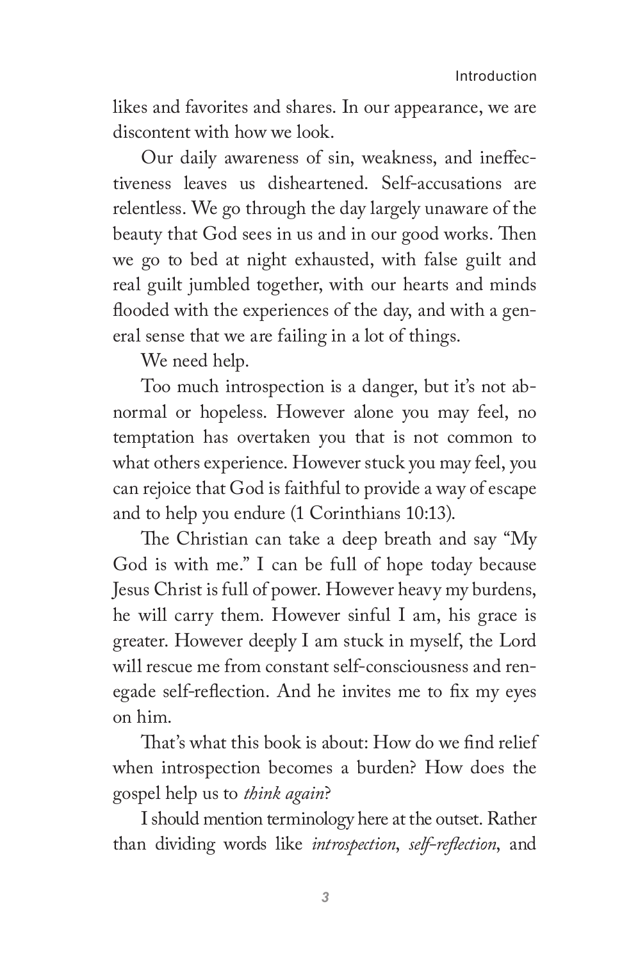likes and favorites and shares. In our appearance, we are discontent with how we look.

Our daily awareness of sin, weakness, and ineffectiveness leaves us disheartened. Self-accusations are relentless. We go through the day largely unaware of the beauty that God sees in us and in our good works. Then we go to bed at night exhausted, with false guilt and real guilt jumbled together, with our hearts and minds flooded with the experiences of the day, and with a general sense that we are failing in a lot of things.

We need help.

Too much introspection is a danger, but it's not abnormal or hopeless. However alone you may feel, no temptation has overtaken you that is not common to what others experience. However stuck you may feel, you can rejoice that God is faithful to provide a way of escape and to help you endure (1 Corinthians 10:13).

The Christian can take a deep breath and say "My God is with me." I can be full of hope today because Jesus Christ is full of power. However heavy my burdens, he will carry them. However sinful I am, his grace is greater. However deeply I am stuck in myself, the Lord will rescue me from constant self-consciousness and renegade self-reflection. And he invites me to fix my eyes on him.

That's what this book is about: How do we find relief when introspection becomes a burden? How does the gospel help us to *think again*?

I should mention terminology here at the outset. Rather than dividing words like *introspection*, *self-reflection*, and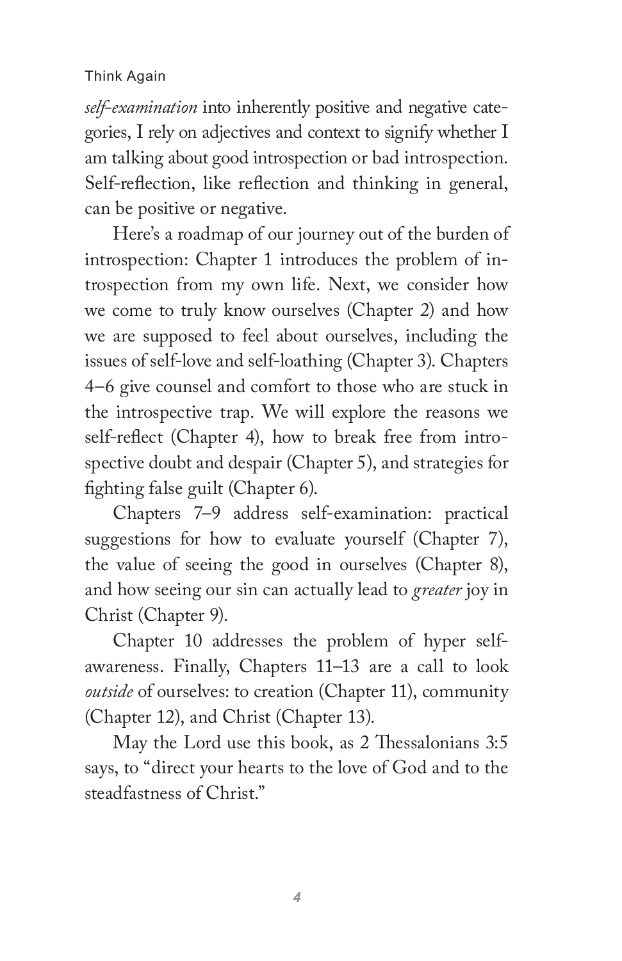*self-examination* into inherently positive and negative categories, I rely on adjectives and context to signify whether I am talking about good introspection or bad introspection. Self-reflection, like reflection and thinking in general, can be positive or negative.

Here's a roadmap of our journey out of the burden of introspection: Chapter 1 introduces the problem of introspection from my own life. Next, we consider how we come to truly know ourselves (Chapter 2) and how we are supposed to feel about ourselves, including the issues of self-love and self-loathing (Chapter 3). Chapters 4–6 give counsel and comfort to those who are stuck in the introspective trap. We will explore the reasons we self-reflect (Chapter 4), how to break free from introspective doubt and despair (Chapter 5), and strategies for fighting false guilt (Chapter 6).

Chapters 7–9 address self-examination: practical suggestions for how to evaluate yourself (Chapter 7), the value of seeing the good in ourselves (Chapter 8), and how seeing our sin can actually lead to *greater* joy in Christ (Chapter 9).

Chapter 10 addresses the problem of hyper selfawareness. Finally, Chapters 11–13 are a call to look *outside* of ourselves: to creation (Chapter 11), community (Chapter 12), and Christ (Chapter 13).

May the Lord use this book, as 2 Thessalonians 3:5 says, to "direct your hearts to the love of God and to the steadfastness of Christ."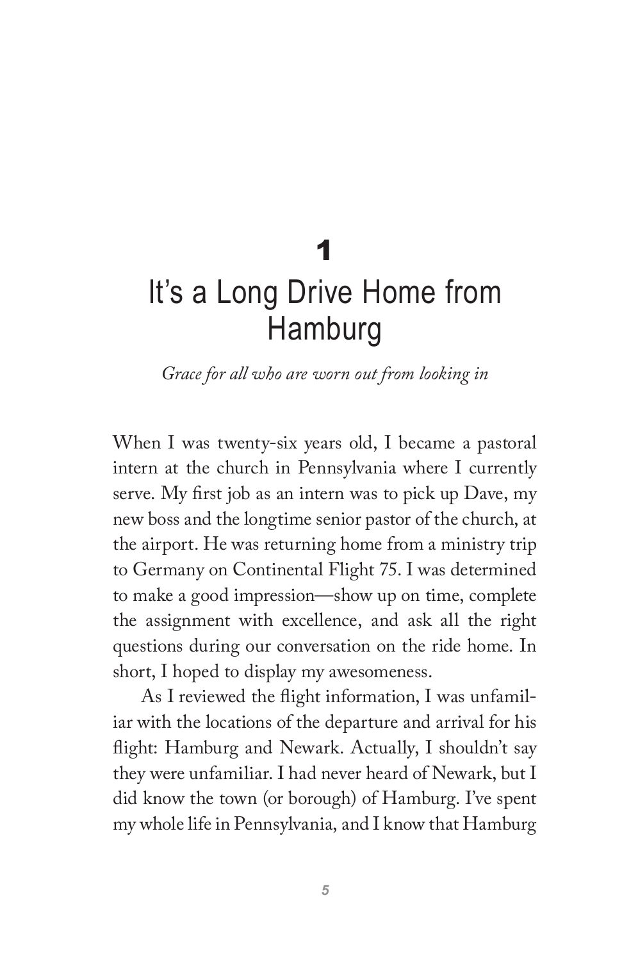# 1 It's a Long Drive Home from Hamburg

*Grace for all who are worn out from looking in*

When I was twenty-six years old, I became a pastoral intern at the church in Pennsylvania where I currently serve. My first job as an intern was to pick up Dave, my new boss and the longtime senior pastor of the church, at the airport. He was returning home from a ministry trip to Germany on Continental Flight 75. I was determined to make a good impression—show up on time, complete the assignment with excellence, and ask all the right questions during our conversation on the ride home. In short, I hoped to display my awesomeness.

As I reviewed the flight information, I was unfamiliar with the locations of the departure and arrival for his flight: Hamburg and Newark. Actually, I shouldn't say they were unfamiliar. I had never heard of Newark, but I did know the town (or borough) of Hamburg. I've spent my whole life in Pennsylvania, and I know that Hamburg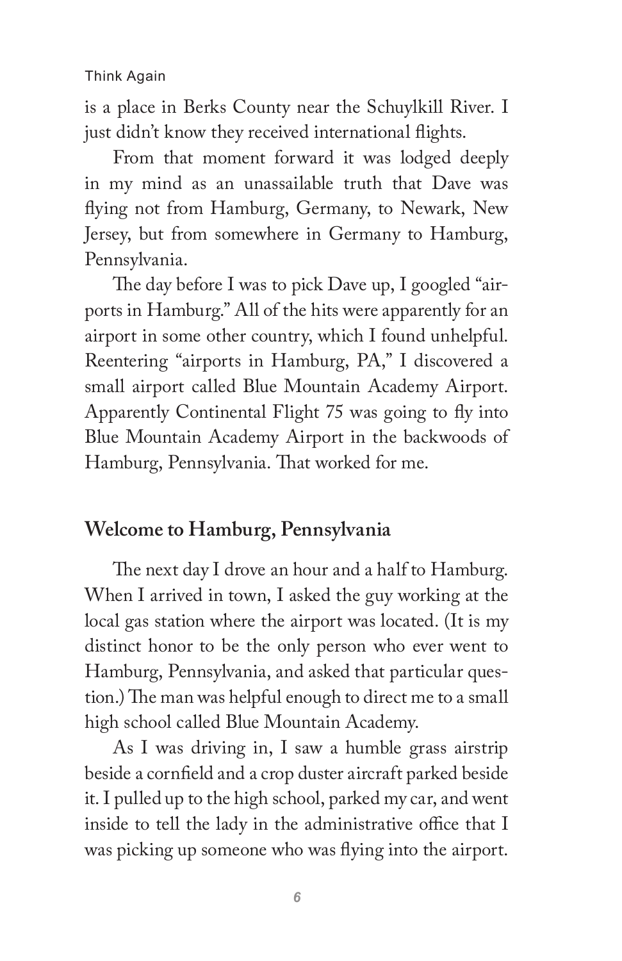is a place in Berks County near the Schuylkill River. I just didn't know they received international flights.

From that moment forward it was lodged deeply in my mind as an unassailable truth that Dave was flying not from Hamburg, Germany, to Newark, New Jersey, but from somewhere in Germany to Hamburg, Pennsylvania.

The day before I was to pick Dave up, I googled "airports in Hamburg." All of the hits were apparently for an airport in some other country, which I found unhelpful. Reentering "airports in Hamburg, PA," I discovered a small airport called Blue Mountain Academy Airport. Apparently Continental Flight 75 was going to fly into Blue Mountain Academy Airport in the backwoods of Hamburg, Pennsylvania. That worked for me.

## **Welcome to Hamburg, Pennsylvania**

The next day I drove an hour and a half to Hamburg. When I arrived in town, I asked the guy working at the local gas station where the airport was located. (It is my distinct honor to be the only person who ever went to Hamburg, Pennsylvania, and asked that particular question.) The man was helpful enough to direct me to a small high school called Blue Mountain Academy.

As I was driving in, I saw a humble grass airstrip beside a cornfield and a crop duster aircraft parked beside it. I pulled up to the high school, parked my car, and went inside to tell the lady in the administrative office that I was picking up someone who was flying into the airport.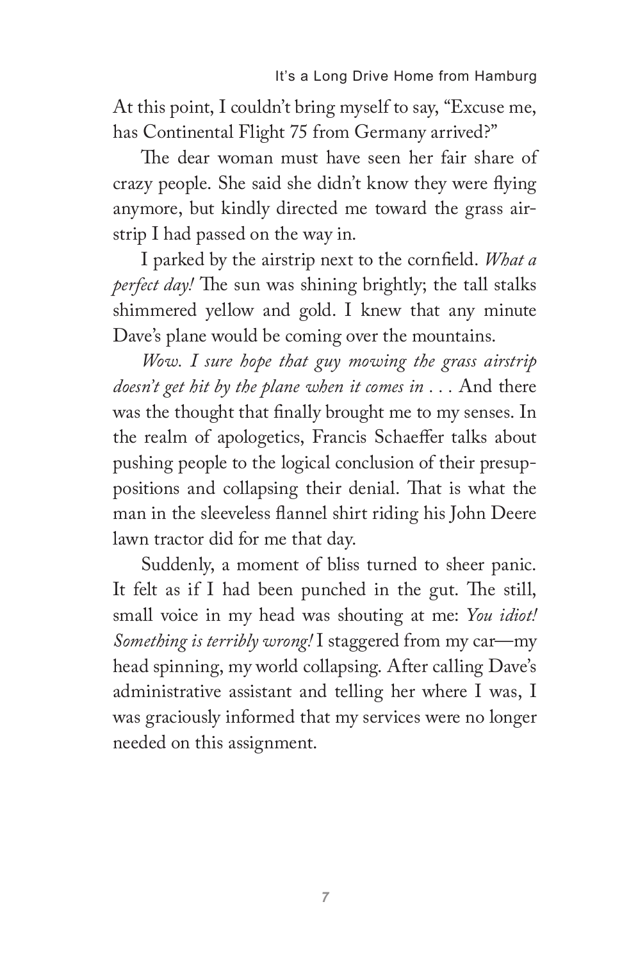At this point, I couldn't bring myself to say, "Excuse me, has Continental Flight 75 from Germany arrived?"

The dear woman must have seen her fair share of crazy people. She said she didn't know they were flying anymore, but kindly directed me toward the grass airstrip I had passed on the way in.

I parked by the airstrip next to the cornfield. *What a perfect day!* The sun was shining brightly; the tall stalks shimmered yellow and gold. I knew that any minute Dave's plane would be coming over the mountains.

*Wow. I sure hope that guy mowing the grass airstrip doesn't get hit by the plane when it comes in . . .* And there was the thought that finally brought me to my senses. In the realm of apologetics, Francis Schaeffer talks about pushing people to the logical conclusion of their presuppositions and collapsing their denial. That is what the man in the sleeveless flannel shirt riding his John Deere lawn tractor did for me that day.

Suddenly, a moment of bliss turned to sheer panic. It felt as if I had been punched in the gut. The still, small voice in my head was shouting at me: *You idiot! Something is terribly wrong!* I staggered from my car—my head spinning, my world collapsing. After calling Dave's administrative assistant and telling her where I was, I was graciously informed that my services were no longer needed on this assignment.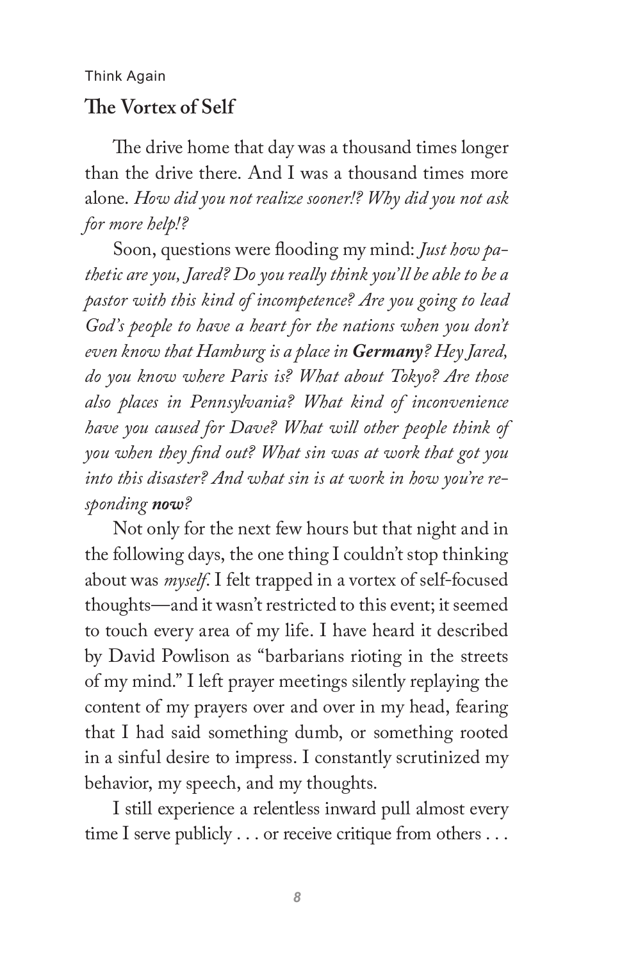## **The Vortex of Self**

The drive home that day was a thousand times longer than the drive there. And I was a thousand times more alone. *How did you not realize sooner!? Why did you not ask for more help!?*

Soon, questions were flooding my mind: *Just how pathetic are you, Jared? Do you really think you'll be able to be a pastor with this kind of incompetence? Are you going to lead God's people to have a heart for the nations when you don't even know that Hamburg is a place in Germany? Hey Jared, do you know where Paris is? What about Tokyo? Are those also places in Pennsylvania? What kind of inconvenience have you caused for Dave? What will other people think of you when they find out? What sin was at work that got you into this disaster? And what sin is at work in how you're responding now?*

Not only for the next few hours but that night and in the following days, the one thing I couldn't stop thinking about was *myself*. I felt trapped in a vortex of self-focused thoughts—and it wasn't restricted to this event; it seemed to touch every area of my life. I have heard it described by David Powlison as "barbarians rioting in the streets of my mind." I left prayer meetings silently replaying the content of my prayers over and over in my head, fearing that I had said something dumb, or something rooted in a sinful desire to impress. I constantly scrutinized my behavior, my speech, and my thoughts.

I still experience a relentless inward pull almost every time I serve publicly . . . or receive critique from others . . .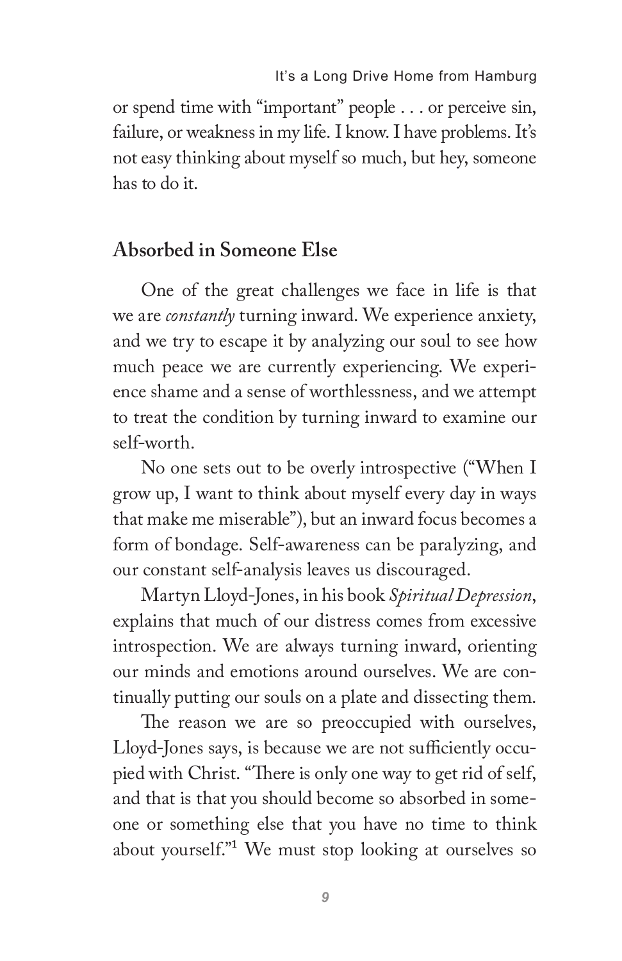or spend time with "important" people . . . or perceive sin, failure, or weakness in my life. I know. I have problems. It's not easy thinking about myself so much, but hey, someone has to do it.

## **Absorbed in Someone Else**

One of the great challenges we face in life is that we are *constantly* turning inward. We experience anxiety, and we try to escape it by analyzing our soul to see how much peace we are currently experiencing. We experience shame and a sense of worthlessness, and we attempt to treat the condition by turning inward to examine our self-worth.

No one sets out to be overly introspective ("When I grow up, I want to think about myself every day in ways that make me miserable"), but an inward focus becomes a form of bondage. Self-awareness can be paralyzing, and our constant self-analysis leaves us discouraged.

Martyn Lloyd-Jones, in his book *Spiritual Depression*, explains that much of our distress comes from excessive introspection. We are always turning inward, orienting our minds and emotions around ourselves. We are continually putting our souls on a plate and dissecting them.

The reason we are so preoccupied with ourselves, Lloyd-Jones says, is because we are not sufficiently occupied with Christ. "There is only one way to get rid of self, and that is that you should become so absorbed in someone or something else that you have no time to think about yourself."1 We must stop looking at ourselves so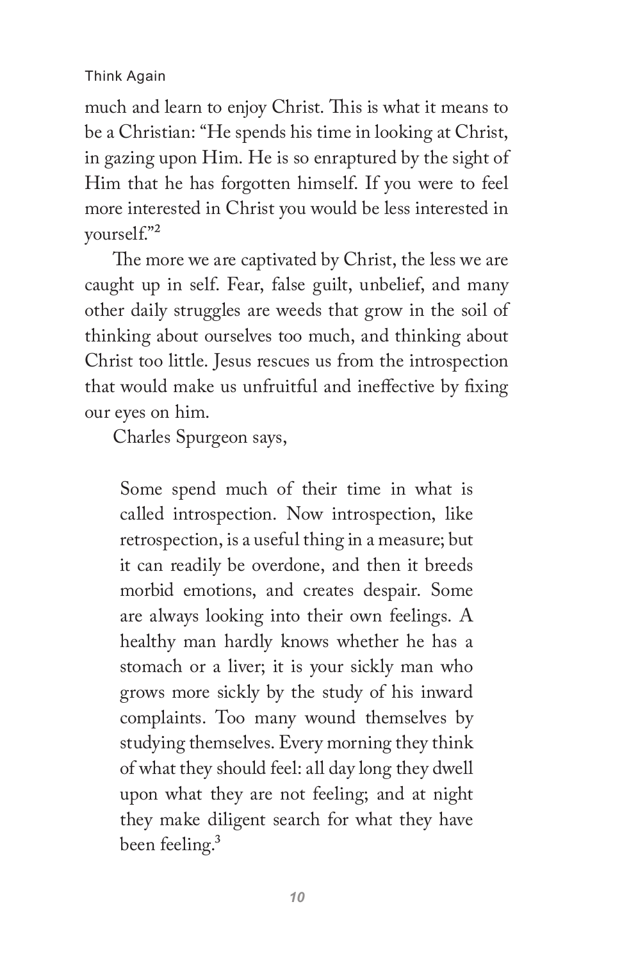much and learn to enjoy Christ. This is what it means to be a Christian: "He spends his time in looking at Christ, in gazing upon Him. He is so enraptured by the sight of Him that he has forgotten himself. If you were to feel more interested in Christ you would be less interested in yourself."2

The more we are captivated by Christ, the less we are caught up in self. Fear, false guilt, unbelief, and many other daily struggles are weeds that grow in the soil of thinking about ourselves too much, and thinking about Christ too little. Jesus rescues us from the introspection that would make us unfruitful and ineffective by fixing our eyes on him.

Charles Spurgeon says,

Some spend much of their time in what is called introspection. Now introspection, like retrospection, is a useful thing in a measure; but it can readily be overdone, and then it breeds morbid emotions, and creates despair. Some are always looking into their own feelings. A healthy man hardly knows whether he has a stomach or a liver; it is your sickly man who grows more sickly by the study of his inward complaints. Too many wound themselves by studying themselves. Every morning they think of what they should feel: all day long they dwell upon what they are not feeling; and at night they make diligent search for what they have been feeling.<sup>3</sup>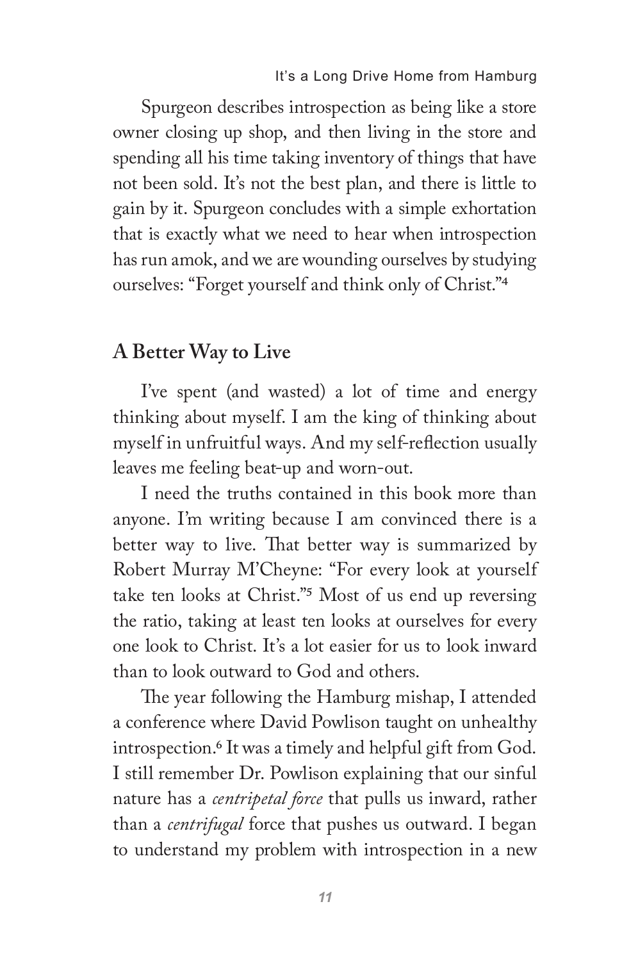Spurgeon describes introspection as being like a store owner closing up shop, and then living in the store and spending all his time taking inventory of things that have not been sold. It's not the best plan, and there is little to gain by it. Spurgeon concludes with a simple exhortation that is exactly what we need to hear when introspection has run amok, and we are wounding ourselves by studying ourselves: "Forget yourself and think only of Christ."4

## **A Better Way to Live**

I've spent (and wasted) a lot of time and energy thinking about myself. I am the king of thinking about myself in unfruitful ways. And my self-reflection usually leaves me feeling beat-up and worn-out.

I need the truths contained in this book more than anyone. I'm writing because I am convinced there is a better way to live. That better way is summarized by Robert Murray M'Cheyne: "For every look at yourself take ten looks at Christ."5 Most of us end up reversing the ratio, taking at least ten looks at ourselves for every one look to Christ. It's a lot easier for us to look inward than to look outward to God and others.

The year following the Hamburg mishap, I attended a conference where David Powlison taught on unhealthy introspection.6 It was a timely and helpful gift from God. I still remember Dr. Powlison explaining that our sinful nature has a *centripetal force* that pulls us inward, rather than a *centrifugal* force that pushes us outward. I began to understand my problem with introspection in a new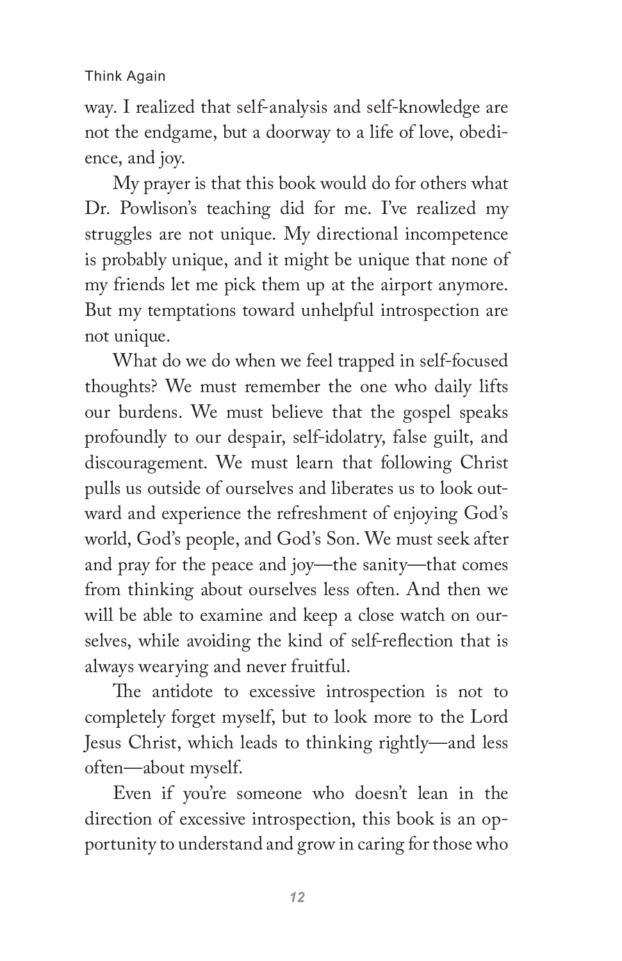way. I realized that self-analysis and self-knowledge are not the endgame, but a doorway to a life of love, obedience, and joy.

My prayer is that this book would do for others what Dr. Powlison's teaching did for me. I've realized my struggles are not unique. My directional incompetence is probably unique, and it might be unique that none of my friends let me pick them up at the airport anymore. But my temptations toward unhelpful introspection are not unique.

What do we do when we feel trapped in self-focused thoughts? We must remember the one who daily lifts our burdens. We must believe that the gospel speaks profoundly to our despair, self-idolatry, false guilt, and discouragement. We must learn that following Christ pulls us outside of ourselves and liberates us to look outward and experience the refreshment of enjoying God's world, God's people, and God's Son. We must seek after and pray for the peace and joy—the sanity—that comes from thinking about ourselves less often. And then we will be able to examine and keep a close watch on ourselves, while avoiding the kind of self-reflection that is always wearying and never fruitful.

The antidote to excessive introspection is not to completely forget myself, but to look more to the Lord Jesus Christ, which leads to thinking rightly—and less often—about myself.

Even if you're someone who doesn't lean in the direction of excessive introspection, this book is an opportunity to understand and grow in caring for those who